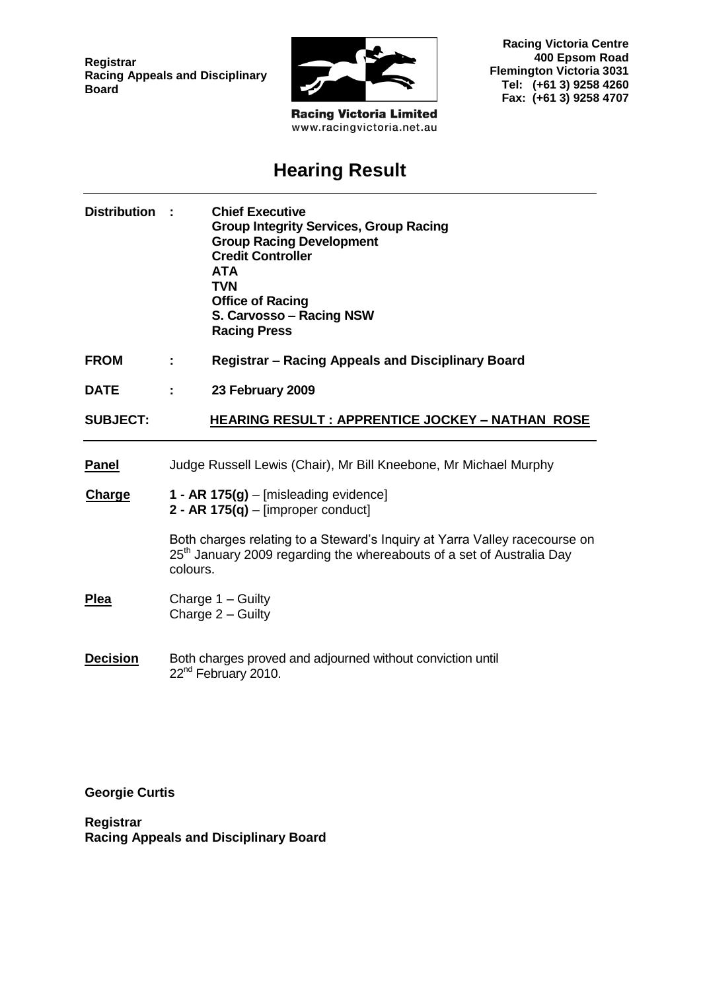**Registrar Racing Appeals and Disciplinary Board**



**Racing Victoria Limited** www.racingvictoria.net.au

**Racing Victoria Centre 400 Epsom Road Flemington Victoria 3031 Tel: (+61 3) 9258 4260 Fax: (+61 3) 9258 4707**

# **Hearing Result**

| <b>Distribution</b> |                                                                                 | <b>Chief Executive</b><br><b>Group Integrity Services, Group Racing</b><br><b>Group Racing Development</b><br><b>Credit Controller</b><br><b>ATA</b><br><b>TVN</b><br><b>Office of Racing</b><br>S. Carvosso - Racing NSW<br><b>Racing Press</b> |
|---------------------|---------------------------------------------------------------------------------|--------------------------------------------------------------------------------------------------------------------------------------------------------------------------------------------------------------------------------------------------|
| <b>FROM</b>         |                                                                                 | <b>Registrar – Racing Appeals and Disciplinary Board</b>                                                                                                                                                                                         |
| <b>DATE</b>         |                                                                                 | 23 February 2009                                                                                                                                                                                                                                 |
| <b>SUBJECT:</b>     |                                                                                 | <b>HEARING RESULT : APPRENTICE JOCKEY - NATHAN ROSE</b>                                                                                                                                                                                          |
| <b>Panel</b>        |                                                                                 | Judge Russell Lewis (Chair), Mr Bill Kneebone, Mr Michael Murphy                                                                                                                                                                                 |
| <b>Charge</b>       | 1 - AR $175(g)$ – [misleading evidence]<br>2 - AR $175(q)$ – [improper conduct] |                                                                                                                                                                                                                                                  |
|                     | colours.                                                                        | Both charges relating to a Steward's Inquiry at Yarra Valley racecourse on<br>25 <sup>th</sup> January 2009 regarding the whereabouts of a set of Australia Day                                                                                  |
| <b>Plea</b>         | Charge $1 -$ Guilty<br>Charge 2 - Guilty                                        |                                                                                                                                                                                                                                                  |
| <b>Decision</b>     | Both charges proved and adjourned without conviction until                      |                                                                                                                                                                                                                                                  |

22<sup>nd</sup> February 2010.

**Georgie Curtis**

**Registrar Racing Appeals and Disciplinary Board**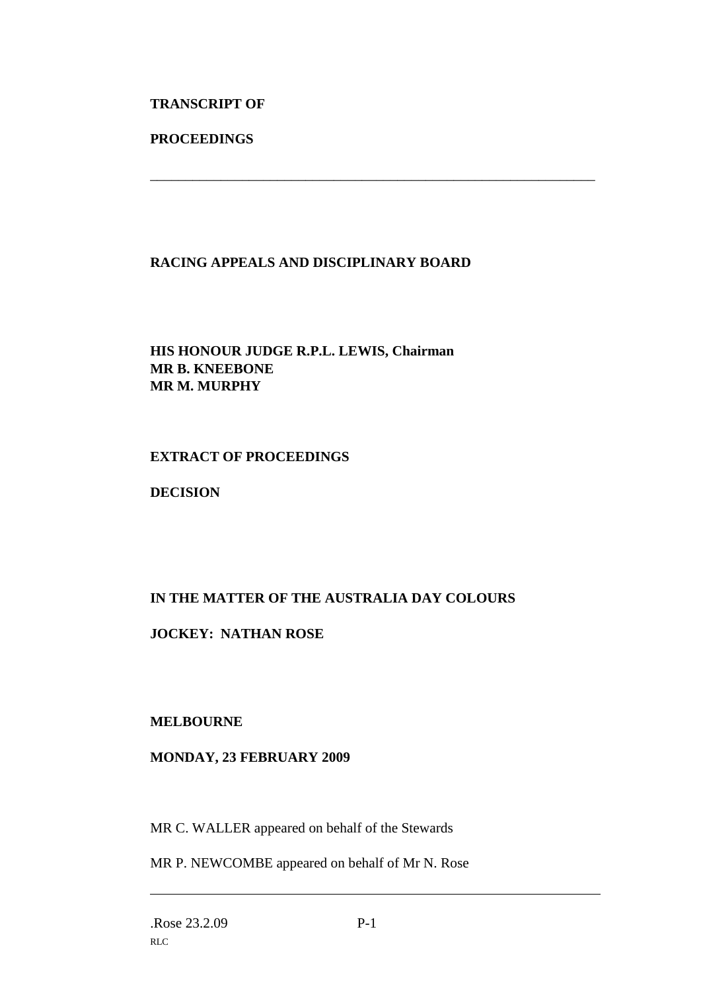#### **TRANSCRIPT OF**

#### **PROCEEDINGS**

#### **RACING APPEALS AND DISCIPLINARY BOARD**

\_\_\_\_\_\_\_\_\_\_\_\_\_\_\_\_\_\_\_\_\_\_\_\_\_\_\_\_\_\_\_\_\_\_\_\_\_\_\_\_\_\_\_\_\_\_\_\_\_\_\_\_\_\_\_\_\_\_\_\_\_\_\_

### **HIS HONOUR JUDGE R.P.L. LEWIS, Chairman MR B. KNEEBONE MR M. MURPHY**

#### **EXTRACT OF PROCEEDINGS**

#### **DECISION**

## **IN THE MATTER OF THE AUSTRALIA DAY COLOURS**

#### **JOCKEY: NATHAN ROSE**

#### **MELBOURNE**

#### **MONDAY, 23 FEBRUARY 2009**

MR C. WALLER appeared on behalf of the Stewards

MR P. NEWCOMBE appeared on behalf of Mr N. Rose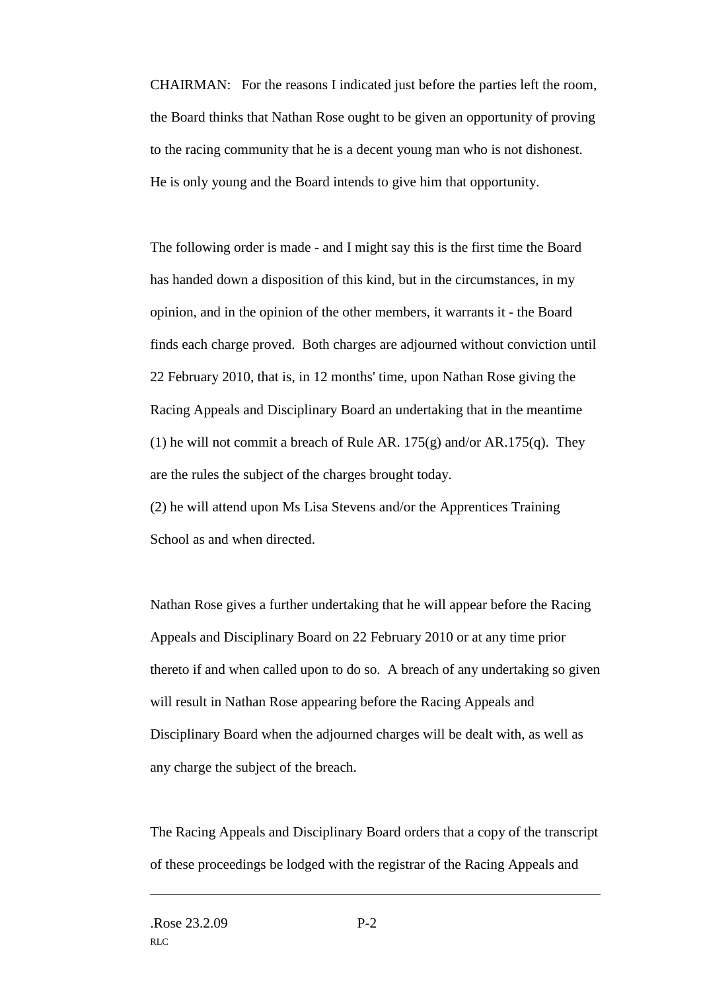CHAIRMAN: For the reasons I indicated just before the parties left the room, the Board thinks that Nathan Rose ought to be given an opportunity of proving to the racing community that he is a decent young man who is not dishonest. He is only young and the Board intends to give him that opportunity.

The following order is made - and I might say this is the first time the Board has handed down a disposition of this kind, but in the circumstances, in my opinion, and in the opinion of the other members, it warrants it - the Board finds each charge proved. Both charges are adjourned without conviction until 22 February 2010, that is, in 12 months' time, upon Nathan Rose giving the Racing Appeals and Disciplinary Board an undertaking that in the meantime (1) he will not commit a breach of Rule AR.  $175(g)$  and/or AR.  $175(g)$ . They are the rules the subject of the charges brought today.

(2) he will attend upon Ms Lisa Stevens and/or the Apprentices Training School as and when directed.

Nathan Rose gives a further undertaking that he will appear before the Racing Appeals and Disciplinary Board on 22 February 2010 or at any time prior thereto if and when called upon to do so. A breach of any undertaking so given will result in Nathan Rose appearing before the Racing Appeals and Disciplinary Board when the adjourned charges will be dealt with, as well as any charge the subject of the breach.

The Racing Appeals and Disciplinary Board orders that a copy of the transcript of these proceedings be lodged with the registrar of the Racing Appeals and